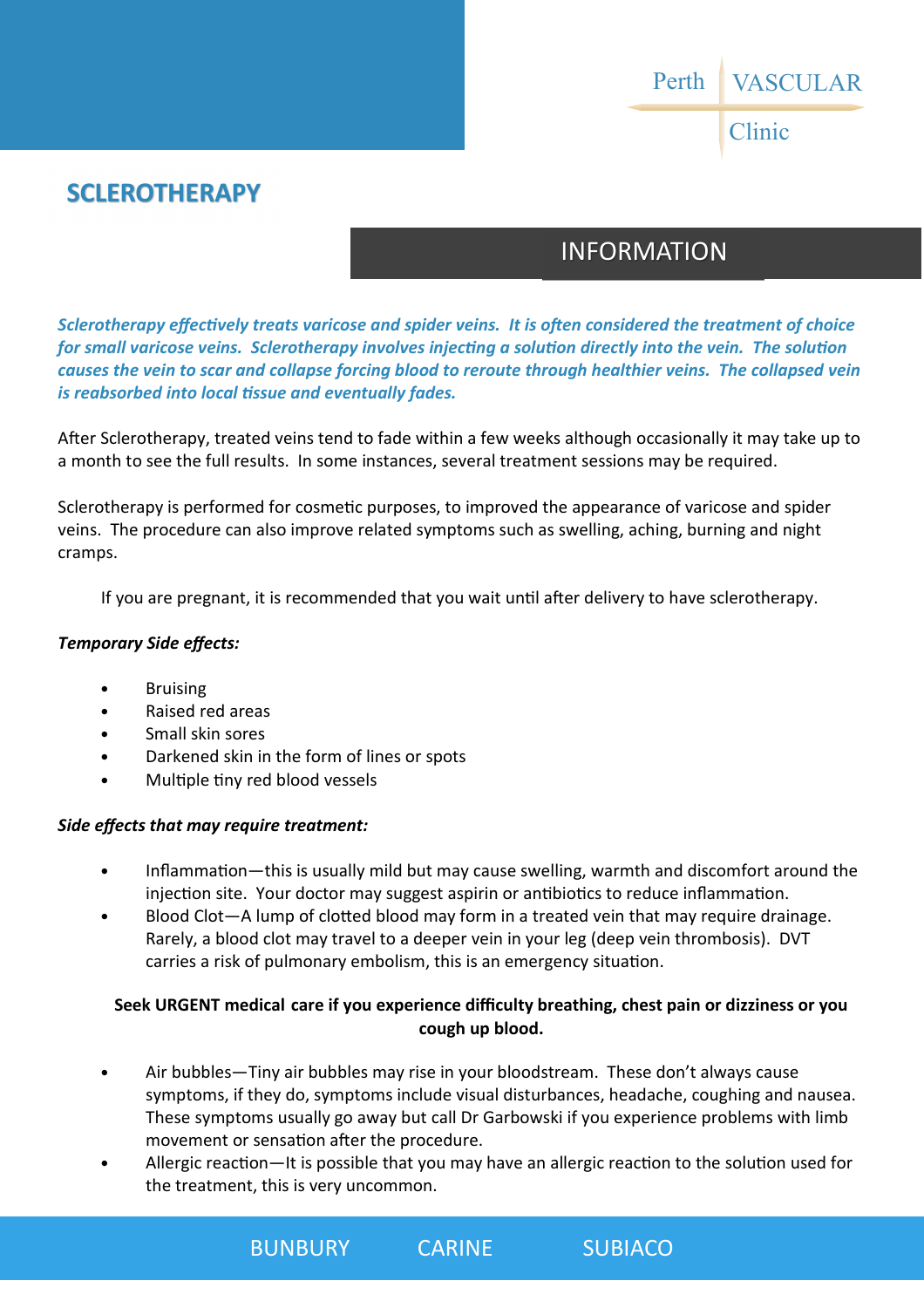VASCULAR Clinic Perth

### **SCLEROTHERAPY**

# INFORMATION

*Sclerotherapy effectively treats varicose and spider veins. It is often considered the treatment of choice for small varicose veins. Sclerotherapy involves injecting a solution directly into the vein. The solution causes the vein to scar and collapse forcing blood to reroute through healthier veins. The collapsed vein is reabsorbed into local tissue and eventually fades.* 

After Sclerotherapy, treated veins tend to fade within a few weeks although occasionally it may take up to a month to see the full results. In some instances, several treatment sessions may be required.

Sclerotherapy is performed for cosmetic purposes, to improved the appearance of varicose and spider veins. The procedure can also improve related symptoms such as swelling, aching, burning and night cramps.

If you are pregnant, it is recommended that you wait until after delivery to have sclerotherapy.

#### *Temporary Side effects:*

- **Bruising**
- Raised red areas
- Small skin sores
- Darkened skin in the form of lines or spots
- Multiple tiny red blood vessels

#### *Side effects that may require treatment:*

- Inflammation—this is usually mild but may cause swelling, warmth and discomfort around the injection site. Your doctor may suggest aspirin or antibiotics to reduce inflammation.
- Blood Clot—A lump of clotted blood may form in a treated vein that may require drainage. Rarely, a blood clot may travel to a deeper vein in your leg (deep vein thrombosis). DVT carries a risk of pulmonary embolism, this is an emergency situation.

### **Seek URGENT medical care if you experience difficulty breathing, chest pain or dizziness or you cough up blood.**

- Air bubbles—Tiny air bubbles may rise in your bloodstream. These don't always cause symptoms, if they do, symptoms include visual disturbances, headache, coughing and nausea. These symptoms usually go away but call Dr Garbowski if you experience problems with limb movement or sensation after the procedure.
- Allergic reaction—It is possible that you may have an allergic reaction to the solution used for the treatment, this is very uncommon.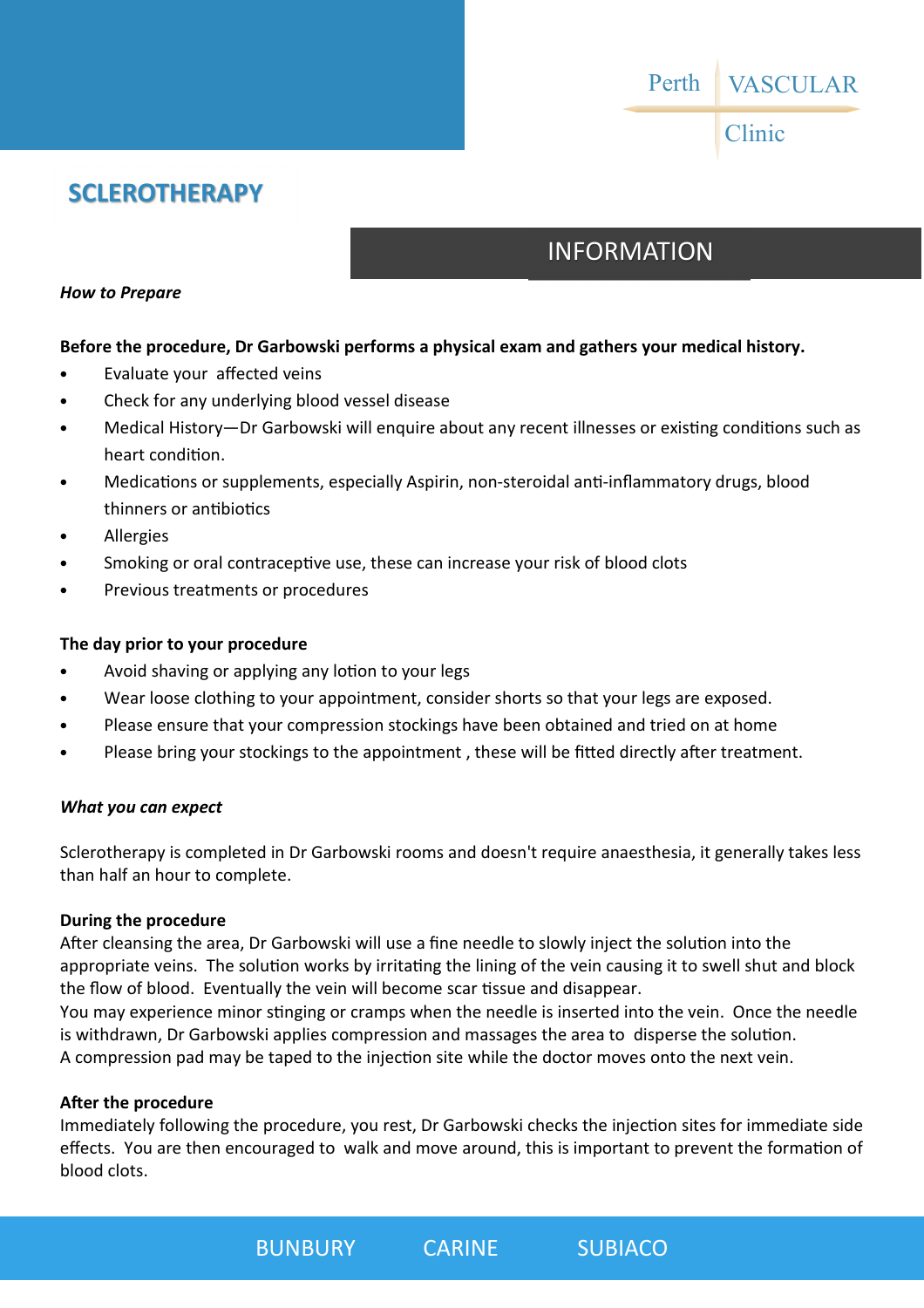

### **SCLEROTHERAPY**

# INFORMATION

#### *How to Prepare*

#### **Before the procedure, Dr Garbowski performs a physical exam and gathers your medical history.**

- Evaluate your affected veins
- Check for any underlying blood vessel disease
- Medical History—Dr Garbowski will enquire about any recent illnesses or existing conditions such as heart condition.
- Medications or supplements, especially Aspirin, non-steroidal anti-inflammatory drugs, blood thinners or antibiotics
- **Allergies**
- Smoking or oral contraceptive use, these can increase your risk of blood clots
- Previous treatments or procedures

#### **The day prior to your procedure**

- Avoid shaving or applying any lotion to your legs
- Wear loose clothing to your appointment, consider shorts so that your legs are exposed.
- Please ensure that your compression stockings have been obtained and tried on at home
- Please bring your stockings to the appointment, these will be fitted directly after treatment.

#### *What you can expect*

Sclerotherapy is completed in Dr Garbowski rooms and doesn't require anaesthesia, it generally takes less than half an hour to complete.

#### **During the procedure**

After cleansing the area, Dr Garbowski will use a fine needle to slowly inject the solution into the appropriate veins. The solution works by irritating the lining of the vein causing it to swell shut and block the flow of blood. Eventually the vein will become scar tissue and disappear. You may experience minor stinging or cramps when the needle is inserted into the vein. Once the needle is withdrawn, Dr Garbowski applies compression and massages the area to disperse the solution. A compression pad may be taped to the injection site while the doctor moves onto the next vein.

#### **After the procedure**

Immediately following the procedure, you rest, Dr Garbowski checks the injection sites for immediate side effects. You are then encouraged to walk and move around, this is important to prevent the formation of blood clots.